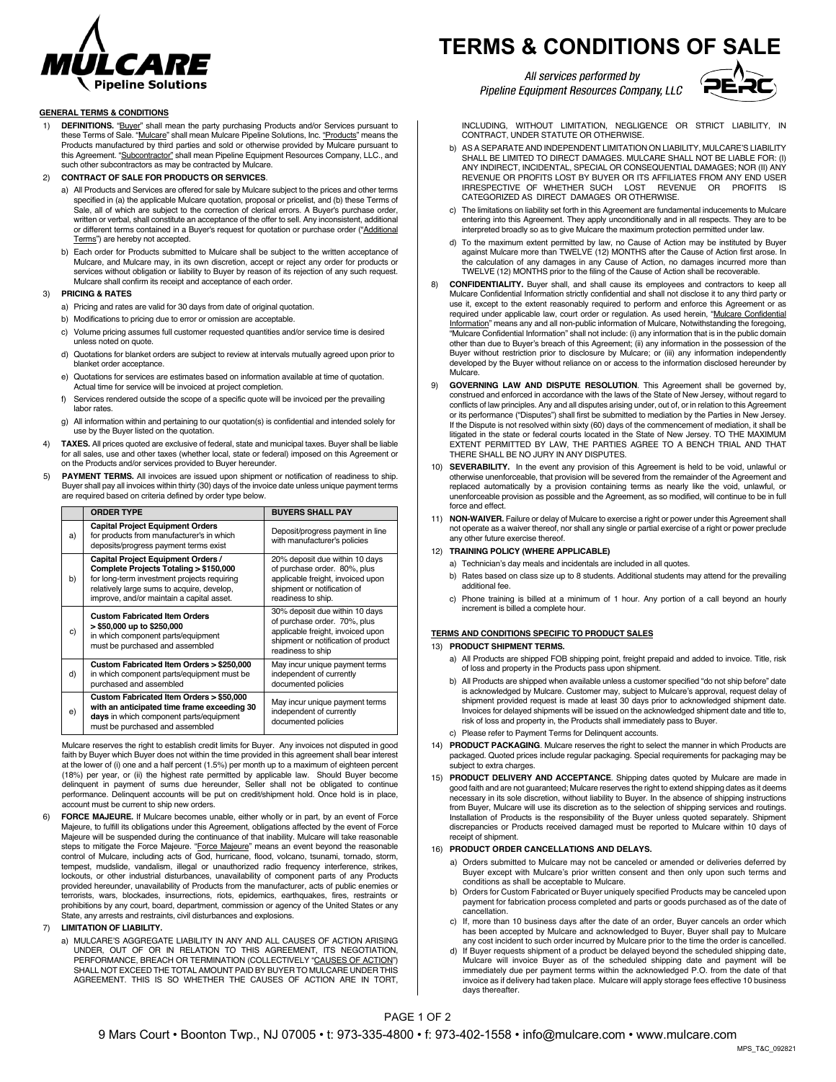

# **GENERAL TERMS & CONDITIONS**

- 1) **DEFINITIONS.** "Buyer" shall mean the party purchasing Products and/or Services pursuant to these Terms of Sale. "Mulcare" shall mean Mulcare Pipeline Solutions, Inc. "Products" means the Products manufactured by third parties and sold or otherwise provided by Mulcare pursuant to this Agreement. "Subcontractor" shall mean Pipeline Equipment Resources Company, LLC., and such other subcontractors as may be contracted by Mulcare.
- 2) **CONTRACT OF SALE FOR PRODUCTS OR SERVICES**.
	- a) All Products and Services are offered for sale by Mulcare subject to the prices and other terms specified in (a) the applicable Mulcare quotation, proposal or pricelist, and (b) these Terms of Sale, all of which are subject to the correction of clerical errors. A Buyer's purchase order, written or verbal, shall constitute an acceptance of the offer to sell. Any inconsistent, additional or different terms contained in a Buyer's request for quotation or purchase order ("Additional Terms") are hereby not accepted.
	- b) Each order for Products submitted to Mulcare shall be subject to the written acceptance of Mulcare, and Mulcare may, in its own discretion, accept or reject any order for products or services without obligation or liability to Buyer by reason of its rejection of any such request. Mulcare shall confirm its receipt and acceptance of each order.

#### 3) **PRICING & RATES**

- a) Pricing and rates are valid for 30 days from date of original quotation.
- b) Modifications to pricing due to error or omission are acceptable.
- c) Volume pricing assumes full customer requested quantities and/or service time is desired unless noted on quote.
- d) Quotations for blanket orders are subject to review at intervals mutually agreed upon prior to blanket order acceptance.
- e) Quotations for services are estimates based on information available at time of quotation. Actual time for service will be invoiced at project completion.
- f) Services rendered outside the scope of a specific quote will be invoiced per the prevailing labor rates.
- g) All information within and pertaining to our quotation(s) is confidential and intended solely for use by the Buyer listed on the quotation.
- TAXES. All prices quoted are exclusive of federal, state and municipal taxes. Buyer shall be liable for all sales, use and other taxes (whether local, state or federal) imposed on this Agreement or on the Products and/or services provided to Buyer hereunder.
- 5) **PAYMENT TERMS.** All invoices are issued upon shipment or notification of readiness to ship. Buyer shall pay all invoices within thirty (30) days of the invoice date unless unique payment terms are required based on criteria defined by order type below.

|    | <b>ORDER TYPE</b>                                                                                                                                                                                                      | <b>BUYERS SHALL PAY</b>                                                                                                                                         |
|----|------------------------------------------------------------------------------------------------------------------------------------------------------------------------------------------------------------------------|-----------------------------------------------------------------------------------------------------------------------------------------------------------------|
| a) | <b>Capital Project Equipment Orders</b><br>for products from manufacturer's in which<br>deposits/progress payment terms exist                                                                                          | Deposit/progress payment in line<br>with manufacturer's policies                                                                                                |
| b) | Capital Project Equipment Orders /<br>Complete Projects Totaling > \$150,000<br>for long-term investment projects requiring<br>relatively large sums to acquire, develop,<br>improve, and/or maintain a capital asset. | 20% deposit due within 10 days<br>of purchase order. 80%, plus<br>applicable freight, invoiced upon<br>shipment or notification of<br>readiness to ship.        |
| c) | <b>Custom Fabricated Item Orders</b><br>> \$50,000 up to \$250,000<br>in which component parts/equipment<br>must be purchased and assembled                                                                            | 30% deposit due within 10 days<br>of purchase order. 70%, plus<br>applicable freight, invoiced upon<br>shipment or notification of product<br>readiness to ship |
| d) | Custom Fabricated Item Orders > \$250,000<br>in which component parts/equipment must be<br>purchased and assembled                                                                                                     | May incur unique payment terms<br>independent of currently<br>documented policies                                                                               |
| e) | Custom Fabricated Item Orders > \$50,000<br>with an anticipated time frame exceeding 30<br>days in which component parts/equipment<br>must be purchased and assembled                                                  | May incur unique payment terms<br>independent of currently<br>documented policies                                                                               |

Mulcare reserves the right to establish credit limits for Buyer. Any invoices not disputed in good faith by Buyer which Buyer does not within the time provided in this agreement shall bear interest at the lower of (i) one and a half percent (1.5%) per month up to a maximum of eighteen percent (18%) per year, or (ii) the highest rate permitted by applicable law. Should Buyer become delinquent in payment of sums due hereunder, Seller shall not be obligated to continue performance. Delinquent accounts will be put on credit/shipment hold. Once hold is in place, account must be current to ship new orders.

- 6) **FORCE MAJEURE.** If Mulcare becomes unable, either wholly or in part, by an event of Force Majeure, to fulfill its obligations under this Agreement, obligations affected by the event of Force Majeure will be suspended during the continuance of that inability. Mulcare will take reasonable steps to mitigate the Force Majeure. "Force Majeure" means an event beyond the reasonable control of Mulcare, including acts of God, hurricane, flood, volcano, tsunami, tornado, storm, tempest, mudslide, vandalism, illegal or unauthorized radio frequency interference, strikes, lockouts, or other industrial disturbances, unavailability of component parts of any Products provided hereunder, unavailability of Products from the manufacturer, acts of public enemies or terrorists, wars, blockades, insurrections, riots, epidemics, earthquakes, fires, restraints or prohibitions by any court, board, department, commission or agency of the United States or any State, any arrests and restraints, civil disturbances and explosions.
- 7) **LIMITATION OF LIABILITY.**
	- a) MULCARE'S AGGREGATE LIABILITY IN ANY AND ALL CAUSES OF ACTION ARISING UNDER, OUT OF OR IN RELATION TO THIS AGREEMENT, ITS NEGOTIATION,<br>PERFORMANCE, BREACH OR TERMINATION (COLLECTIVELY "<u>CAUSES OF ACTION</u>") SHALL NOT EXCEED THE TOTAL AMOUNT PAID BY BUYER TO MULCARE UNDER THIS AGREEMENT. THIS IS SO WHETHER THE CAUSES OF ACTION ARE IN TORT,

# **TERMS & CONDITIONS OF SALE**

All services performed by Pipeline Equipment Resources Company, LLC



INCLUDING, WITHOUT LIMITATION, NEGLIGENCE OR STRICT LIABILITY, IN CONTRACT, UNDER STATUTE OR OTHERWISE.

- b) AS A SEPARATE AND INDEPENDENT LIMITATION ON LIABILITY, MULCARE'S LIABILITY SHALL BE LIMITED TO DIRECT DAMAGES. MULCARE SHALL NOT BE LIABLE FOR: (I) ANY INDIRECT, INCIDENTAL, SPECIAL OR CONSEQUENTIAL DAMAGES; NOR (II) ANY REVENUE OR PROFITS LOST BY BUYER OR ITS AFFILIATES FROM ANY END USER IRRESPECTIVE OF WHETHER SUCH LOST REVENUE OR PROFITS CATEGORIZED AS DIRECT DAMAGES OR OTHERWISE.
- c) The limitations on liability set forth in this Agreement are fundamental inducements to Mulcare entering into this Agreement. They apply unconditionally and in all respects. They are to be interpreted broadly so as to give Mulcare the maximum protection permitted under law.
- d) To the maximum extent permitted by law, no Cause of Action may be instituted by Buyer against Mulcare more than TWELVE (12) MONTHS after the Cause of Action first arose. In the calculation of any damages in any Cause of Action, no damages incurred more than TWELVE (12) MONTHS prior to the filing of the Cause of Action shall be recoverable.
- 8) **CONFIDENTIALITY.** Buyer shall, and shall cause its employees and contractors to keep all Mulcare Confidential Information strictly confidential and shall not disclose it to any third party or use it, except to the extent reasonably required to perform and enforce this Agreement or as<br>required under applicable law, court order or regulation. As used herein, "<u>Mulcare Confidential</u> Information" means any and all non-public information of Mulcare, Notwithstanding the foregoing, "Mulcare Confidential Information" shall not include: (i) any information that is in the public domain other than due to Buyer's breach of this Agreement; (ii) any information in the possession of the Buyer without restriction prior to disclosure by Mulcare; or (iii) any information independently developed by the Buyer without reliance on or access to the information disclosed hereunder by Mulcare.
- 9) **GOVERNING LAW AND DISPUTE RESOLUTION**. This Agreement shall be governed by, construed and enforced in accordance with the laws of the State of New Jersey, without regard to conflicts of law principles. Any and all disputes arising under, out of, or in relation to this Agreement or its performance ("Disputes") shall first be submitted to mediation by the Parties in New Jersey. If the Dispute is not resolved within sixty (60) days of the commencement of mediation, it shall be litigated in the state or federal courts located in the State of New Jersey. TO THE MAXIMUM EXTENT PERMITTED BY LAW, THE PARTIES AGREE TO A BENCH TRIAL AND THAT THERE SHALL BE NO JURY IN ANY DISPUTES.
- 10) **SEVERABILITY.** In the event any provision of this Agreement is held to be void, unlawful or otherwise unenforceable, that provision will be severed from the remainder of the Agreement and replaced automatically by a provision containing terms as nearly like the void, unlawful, or unenforceable provision as possible and the Agreement, as so modified, will continue to be in full force and effect.
- 11) **NON-WAIVER.** Failure or delay of Mulcare to exercise a right or power under this Agreement shall not operate as a waiver thereof, nor shall any single or partial exercise of a right or power preclude any other future exercise thereof.

### 12) **TRAINING POLICY (WHERE APPLICABLE)**

- a) Technician's day meals and incidentals are included in all quotes.
- b) Rates based on class size up to 8 students. Additional students may attend for the prevailing additional fee.
- c) Phone training is billed at a minimum of 1 hour. Any portion of a call beyond an hourly increment is billed a complete hour.

# **TERMS AND CONDITIONS SPECIFIC TO PRODUCT SALES**

#### 13) **PRODUCT SHIPMENT TERMS.**

- a) All Products are shipped FOB shipping point, freight prepaid and added to invoice. Title, risk of loss and property in the Products pass upon shipment.
- b) All Products are shipped when available unless a customer specified "do not ship before" date is acknowledged by Mulcare. Customer may, subject to Mulcare's approval, request delay of shipment provided request is made at least 30 days prior to acknowledged shipment date. Invoices for delayed shipments will be issued on the acknowledged shipment date and title to, risk of loss and property in, the Products shall immediately pass to Buyer.
- c) Please refer to Payment Terms for Delinquent accounts.
- 14) **PRODUCT PACKAGING**. Mulcare reserves the right to select the manner in which Products are packaged. Quoted prices include regular packaging. Special requirements for packaging may be subject to extra charges.
- 15) **PRODUCT DELIVERY AND ACCEPTANCE**. Shipping dates quoted by Mulcare are made in good faith and are not guaranteed; Mulcare reserves the right to extend shipping dates as it deems necessary in its sole discretion, without liability to Buyer. In the absence of shipping instructions from Buyer, Mulcare will use its discretion as to the selection of shipping services and routings. Installation of Products is the responsibility of the Buyer unless quoted separately. Shipment discrepancies or Products received damaged must be reported to Mulcare within 10 days of receipt of shipment.

#### 16) **PRODUCT ORDER CANCELLATIONS AND DELAYS.**

- a) Orders submitted to Mulcare may not be canceled or amended or deliveries deferred by Buyer except with Mulcare's prior written consent and then only upon such terms and
- conditions as shall be acceptable to Mulcare. b) Orders for Custom Fabricated or Buyer uniquely specified Products may be canceled upon payment for fabrication process completed and parts or goods purchased as of the date of cancellation.
- c) If, more than 10 business days after the date of an order, Buyer cancels an order which has been accepted by Mulcare and acknowledged to Buyer, Buyer shall pay to Mulcare any cost incident to such order incurred by Mulcare prior to the time the order is cancelled.
- d) If Buyer requests shipment of a product be delayed beyond the scheduled shipping date, Mulcare will invoice Buyer as of the scheduled shipping date and payment will be immediately due per payment terms within the acknowledged P.O. from the date of that invoice as if delivery had taken place. Mulcare will apply storage fees effective 10 business days thereafter

# PAGE 1 OF 2